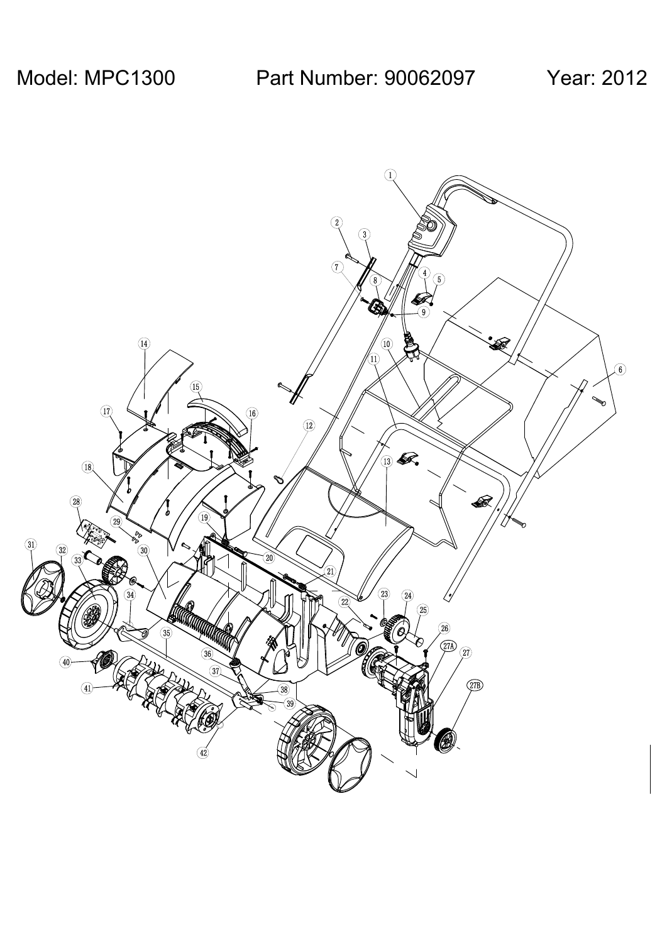